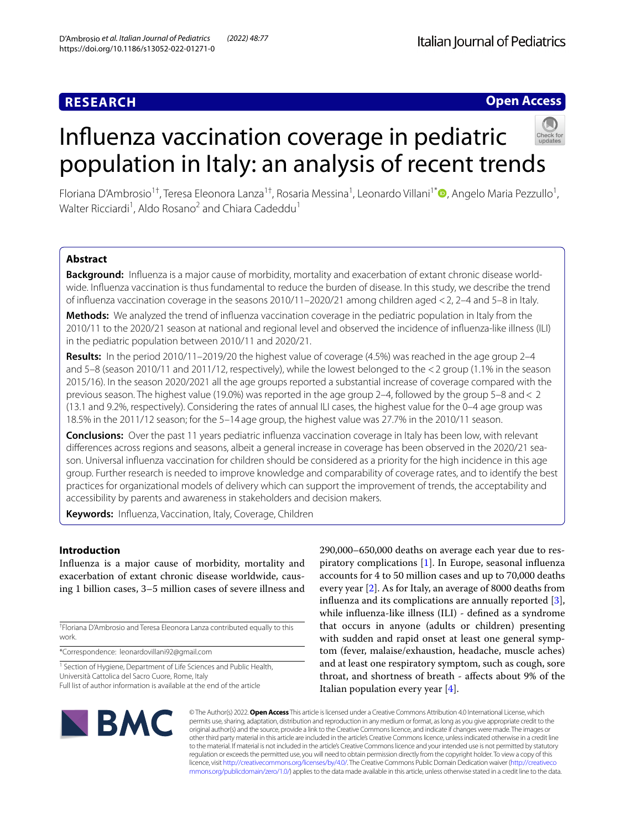# **RESEARCH**

# **Open Access**

# Infuenza vaccination coverage in pediatric population in Italy: an analysis of recent trends



Floriana D'Ambrosio<sup>1†</sup>, Teresa Eleonora Lanza<sup>1†</sup>, Rosaria Messina<sup>1</sup>, Leonardo Villani<sup>1[\\*](http://orcid.org/0000-0001-9375-8731)</sup>®, Angelo Maria Pezzullo<sup>1</sup>, Walter Ricciardi<sup>1</sup>, Aldo Rosano<sup>2</sup> and Chiara Cadeddu<sup>1</sup>

# **Abstract**

**Background:** Infuenza is a major cause of morbidity, mortality and exacerbation of extant chronic disease worldwide. Infuenza vaccination is thus fundamental to reduce the burden of disease. In this study, we describe the trend of infuenza vaccination coverage in the seasons 2010/11–2020/21 among children aged <2, 2–4 and 5–8 in Italy.

**Methods:** We analyzed the trend of infuenza vaccination coverage in the pediatric population in Italy from the 2010/11 to the 2020/21 season at national and regional level and observed the incidence of infuenza-like illness (ILI) in the pediatric population between 2010/11 and 2020/21.

**Results:** In the period 2010/11–2019/20 the highest value of coverage (4.5%) was reached in the age group 2–4 and 5–8 (season 2010/11 and 2011/12, respectively), while the lowest belonged to the <2 group (1.1% in the season 2015/16). In the season 2020/2021 all the age groups reported a substantial increase of coverage compared with the previous season. The highest value (19.0%) was reported in the age group 2–4, followed by the group 5–8 and< 2 (13.1 and 9.2%, respectively). Considering the rates of annual ILI cases, the highest value for the 0–4 age group was 18.5% in the 2011/12 season; for the 5–14 age group, the highest value was 27.7% in the 2010/11 season.

**Conclusions:** Over the past 11 years pediatric infuenza vaccination coverage in Italy has been low, with relevant diferences across regions and seasons, albeit a general increase in coverage has been observed in the 2020/21 season. Universal infuenza vaccination for children should be considered as a priority for the high incidence in this age group. Further research is needed to improve knowledge and comparability of coverage rates, and to identify the best practices for organizational models of delivery which can support the improvement of trends, the acceptability and accessibility by parents and awareness in stakeholders and decision makers.

**Keywords:** Infuenza, Vaccination, Italy, Coverage, Children

# **Introduction**

Infuenza is a major cause of morbidity, mortality and exacerbation of extant chronic disease worldwide, causing 1 billion cases, 3–5 million cases of severe illness and

† Floriana D'Ambrosio and Teresa Eleonora Lanza contributed equally to this work.

\*Correspondence: leonardovillani92@gmail.com

<sup>1</sup> Section of Hygiene, Department of Life Sciences and Public Health, Università Cattolica del Sacro Cuore, Rome, Italy

Full list of author information is available at the end of the article

290,000–650,000 deaths on average each year due to respiratory complications [[1\]](#page-8-0). In Europe, seasonal infuenza accounts for 4 to 50 million cases and up to 70,000 deaths every year [[2\]](#page-8-1). As for Italy, an average of 8000 deaths from infuenza and its complications are annually reported [\[3](#page-8-2)], while infuenza-like illness (ILI) - defned as a syndrome that occurs in anyone (adults or children) presenting with sudden and rapid onset at least one general symptom (fever, malaise/exhaustion, headache, muscle aches) and at least one respiratory symptom, such as cough, sore throat, and shortness of breath - afects about 9% of the Italian population every year  $[4]$  $[4]$ .



© The Author(s) 2022. **Open Access** This article is licensed under a Creative Commons Attribution 4.0 International License, which permits use, sharing, adaptation, distribution and reproduction in any medium or format, as long as you give appropriate credit to the original author(s) and the source, provide a link to the Creative Commons licence, and indicate if changes were made. The images or other third party material in this article are included in the article's Creative Commons licence, unless indicated otherwise in a credit line to the material. If material is not included in the article's Creative Commons licence and your intended use is not permitted by statutory regulation or exceeds the permitted use, you will need to obtain permission directly from the copyright holder. To view a copy of this licence, visit [http://creativecommons.org/licenses/by/4.0/.](http://creativecommons.org/licenses/by/4.0/) The Creative Commons Public Domain Dedication waiver ([http://creativeco](http://creativecommons.org/publicdomain/zero/1.0/) [mmons.org/publicdomain/zero/1.0/](http://creativecommons.org/publicdomain/zero/1.0/)) applies to the data made available in this article, unless otherwise stated in a credit line to the data.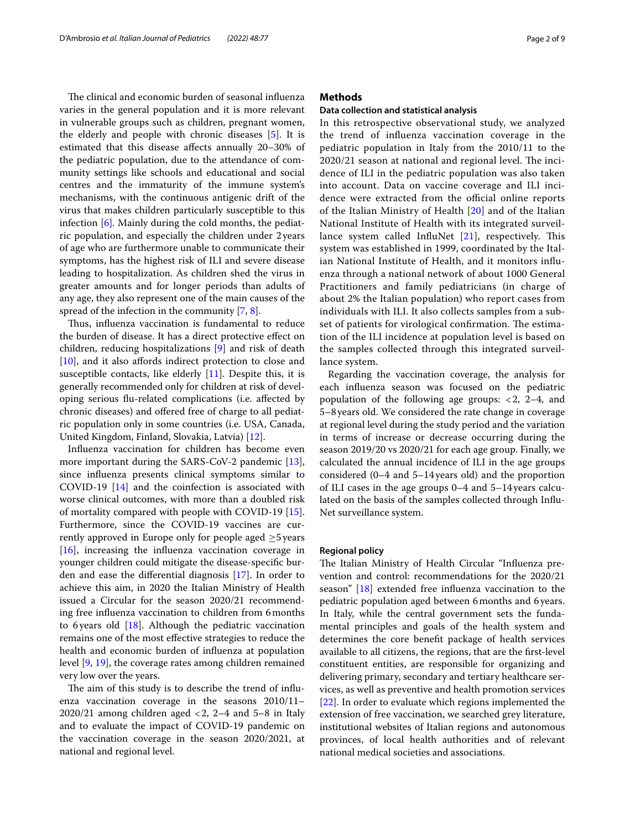The clinical and economic burden of seasonal influenza varies in the general population and it is more relevant in vulnerable groups such as children, pregnant women, the elderly and people with chronic diseases [\[5\]](#page-8-4). It is estimated that this disease afects annually 20–30% of the pediatric population, due to the attendance of community settings like schools and educational and social centres and the immaturity of the immune system's mechanisms, with the continuous antigenic drift of the virus that makes children particularly susceptible to this infection [\[6](#page-8-5)]. Mainly during the cold months, the pediatric population, and especially the children under 2years of age who are furthermore unable to communicate their symptoms, has the highest risk of ILI and severe disease leading to hospitalization. As children shed the virus in greater amounts and for longer periods than adults of any age, they also represent one of the main causes of the spread of the infection in the community [[7,](#page-8-6) [8](#page-8-7)].

Thus, influenza vaccination is fundamental to reduce the burden of disease. It has a direct protective efect on children, reducing hospitalizations [\[9](#page-8-8)] and risk of death [[10\]](#page-8-9), and it also affords indirect protection to close and susceptible contacts, like elderly  $[11]$  $[11]$ . Despite this, it is generally recommended only for children at risk of developing serious fu-related complications (i.e. afected by chronic diseases) and ofered free of charge to all pediatric population only in some countries (i.e. USA, Canada, United Kingdom, Finland, Slovakia, Latvia) [[12\]](#page-8-11).

Infuenza vaccination for children has become even more important during the SARS-CoV-2 pandemic [\[13](#page-8-12)], since infuenza presents clinical symptoms similar to COVID-19 [[14\]](#page-8-13) and the coinfection is associated with worse clinical outcomes, with more than a doubled risk of mortality compared with people with COVID-19 [\[15](#page-8-14)]. Furthermore, since the COVID-19 vaccines are currently approved in Europe only for people aged  $\geq$ 5 years  $[16]$  $[16]$ , increasing the influenza vaccination coverage in younger children could mitigate the disease-specifc burden and ease the diferential diagnosis [\[17\]](#page-8-16). In order to achieve this aim, in 2020 the Italian Ministry of Health issued a Circular for the season 2020/21 recommending free infuenza vaccination to children from 6months to 6 years old  $[18]$ . Although the pediatric vaccination remains one of the most efective strategies to reduce the health and economic burden of infuenza at population level [\[9](#page-8-8), [19\]](#page-8-18), the coverage rates among children remained very low over the years.

The aim of this study is to describe the trend of influenza vaccination coverage in the seasons 2010/11– 2020/21 among children aged  $<$  2, 2–4 and 5–8 in Italy and to evaluate the impact of COVID-19 pandemic on the vaccination coverage in the season 2020/2021, at national and regional level.

# **Methods**

## **Data collection and statistical analysis**

In this retrospective observational study, we analyzed the trend of infuenza vaccination coverage in the pediatric population in Italy from the 2010/11 to the 2020/21 season at national and regional level. The incidence of ILI in the pediatric population was also taken into account. Data on vaccine coverage and ILI incidence were extracted from the official online reports of the Italian Ministry of Health [[20\]](#page-8-19) and of the Italian National Institute of Health with its integrated surveillance system called InfluNet  $[21]$  $[21]$  $[21]$ , respectively. This system was established in 1999, coordinated by the Italian National Institute of Health, and it monitors infuenza through a national network of about 1000 General Practitioners and family pediatricians (in charge of about 2% the Italian population) who report cases from individuals with ILI. It also collects samples from a subset of patients for virological confirmation. The estimation of the ILI incidence at population level is based on the samples collected through this integrated surveillance system.

Regarding the vaccination coverage, the analysis for each infuenza season was focused on the pediatric population of the following age groups:  $< 2$ , 2–4, and 5–8years old. We considered the rate change in coverage at regional level during the study period and the variation in terms of increase or decrease occurring during the season 2019/20 vs 2020/21 for each age group. Finally, we calculated the annual incidence of ILI in the age groups considered (0–4 and 5–14years old) and the proportion of ILI cases in the age groups 0–4 and 5–14years calculated on the basis of the samples collected through Infu-Net surveillance system.

#### **Regional policy**

The Italian Ministry of Health Circular "Influenza prevention and control: recommendations for the 2020/21 season" [[18](#page-8-17)] extended free infuenza vaccination to the pediatric population aged between 6months and 6years. In Italy, while the central government sets the fundamental principles and goals of the health system and determines the core beneft package of health services available to all citizens, the regions, that are the frst-level constituent entities, are responsible for organizing and delivering primary, secondary and tertiary healthcare services, as well as preventive and health promotion services [[22\]](#page-8-21). In order to evaluate which regions implemented the extension of free vaccination, we searched grey literature, institutional websites of Italian regions and autonomous provinces, of local health authorities and of relevant national medical societies and associations.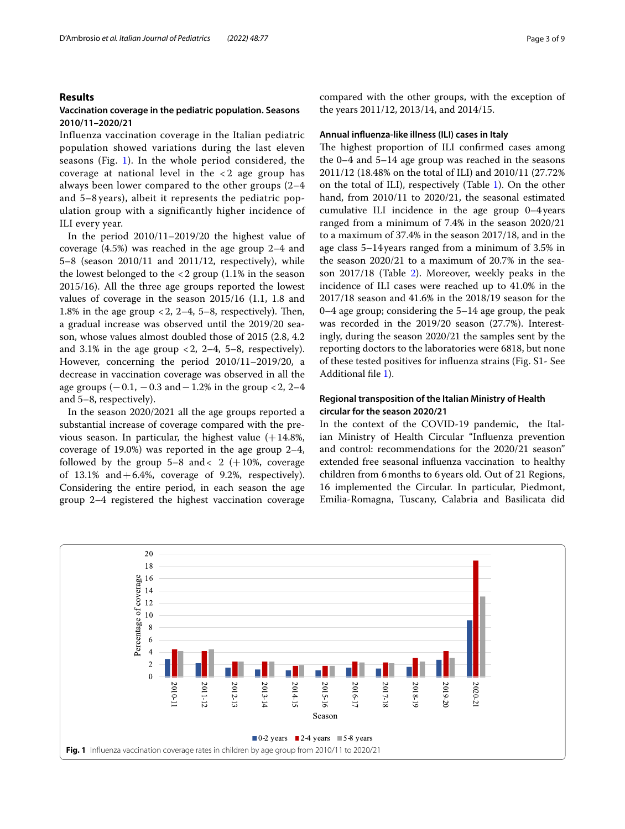## **Results**

# **Vaccination coverage in the pediatric population. Seasons 2010/11–2020/21**

Influenza vaccination coverage in the Italian pediatric population showed variations during the last eleven seasons (Fig. [1\)](#page-2-0). In the whole period considered, the coverage at national level in the  $\langle 2 \rangle$  age group has always been lower compared to the other groups (2–4 and 5–8 years), albeit it represents the pediatric population group with a significantly higher incidence of ILI every year.

In the period 2010/11–2019/20 the highest value of coverage (4.5%) was reached in the age group 2–4 and 5–8 (season 2010/11 and 2011/12, respectively), while the lowest belonged to the <2 group (1.1% in the season 2015/16). All the three age groups reported the lowest values of coverage in the season 2015/16 (1.1, 1.8 and 1.8% in the age group  $< 2$ , 2–4, 5–8, respectively). Then, a gradual increase was observed until the 2019/20 season, whose values almost doubled those of 2015 (2.8, 4.2 and 3.1% in the age group  $\langle 2, 2-4, 5-8,$  respectively). However, concerning the period 2010/11–2019/20, a decrease in vaccination coverage was observed in all the age groups  $(-0.1, -0.3$  and  $-1.2%$  in the group <2, 2–4 and 5–8, respectively).

In the season 2020/2021 all the age groups reported a substantial increase of coverage compared with the previous season. In particular, the highest value  $(+14.8\%$ , coverage of 19.0%) was reported in the age group 2–4, followed by the group  $5-8$  and  $2$  (+10%, coverage of  $13.1\%$  and  $+6.4\%$ , coverage of 9.2%, respectively). Considering the entire period, in each season the age group 2–4 registered the highest vaccination coverage compared with the other groups, with the exception of the years 2011/12, 2013/14, and 2014/15.

## **Annual infuenza‑like illness (ILI) cases in Italy**

The highest proportion of ILI confirmed cases among the 0–4 and 5–14 age group was reached in the seasons 2011/12 (18.48% on the total of ILI) and 2010/11 (27.72% on the total of ILI), respectively (Table [1\)](#page-3-0). On the other hand, from 2010/11 to 2020/21, the seasonal estimated cumulative ILI incidence in the age group 0–4years ranged from a minimum of 7.4% in the season 2020/21 to a maximum of 37.4% in the season 2017/18, and in the age class 5–14years ranged from a minimum of 3.5% in the season 2020/21 to a maximum of 20.7% in the season 2017/18 (Table [2](#page-3-1)). Moreover, weekly peaks in the incidence of ILI cases were reached up to 41.0% in the 2017/18 season and 41.6% in the 2018/19 season for the 0–4 age group; considering the 5–14 age group, the peak was recorded in the 2019/20 season (27.7%). Interestingly, during the season 2020/21 the samples sent by the reporting doctors to the laboratories were 6818, but none of these tested positives for infuenza strains (Fig. S1- See Additional fle [1](#page-7-0)).

# **Regional transposition of the Italian Ministry of Health circular for the season 2020/21**

In the context of the COVID-19 pandemic, the Italian Ministry of Health Circular "Infuenza prevention and control: recommendations for the 2020/21 season" extended free seasonal infuenza vaccination to healthy children from 6months to 6years old. Out of 21 Regions, 16 implemented the Circular. In particular, Piedmont, Emilia-Romagna, Tuscany, Calabria and Basilicata did

<span id="page-2-0"></span>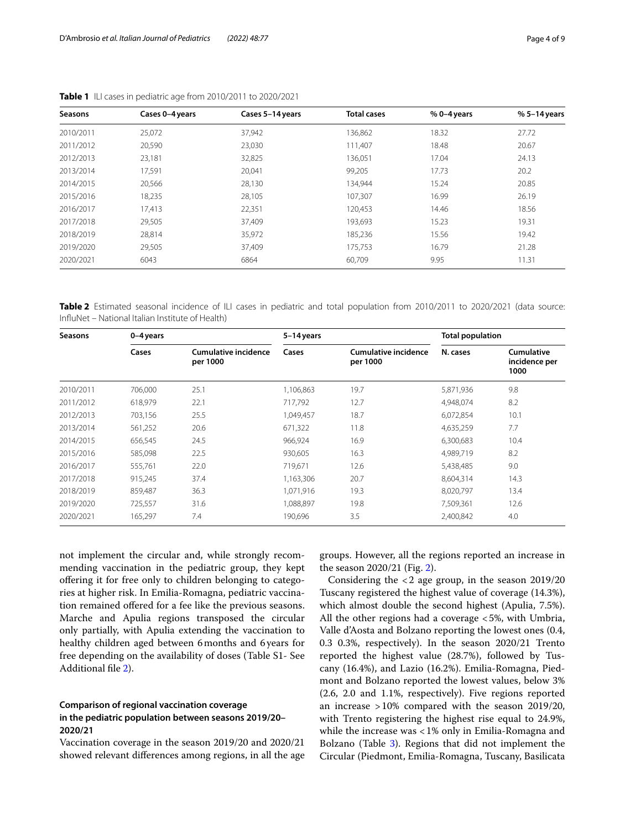| Seasons   | Cases 0-4 years | Cases 5-14 years | <b>Total cases</b> | $%0 - 4$ years | $% 5-14$ years |
|-----------|-----------------|------------------|--------------------|----------------|----------------|
| 2010/2011 | 25,072          | 37,942           | 136,862            | 18.32          | 27.72          |
| 2011/2012 | 20,590          | 23,030           | 111.407            | 18.48          | 20.67          |
| 2012/2013 | 23,181          | 32,825           | 136,051            | 17.04          | 24.13          |
| 2013/2014 | 17,591          | 20.041           | 99,205             | 17.73          | 20.2           |
| 2014/2015 | 20,566          | 28,130           | 134,944            | 15.24          | 20.85          |
| 2015/2016 | 18,235          | 28,105           | 107.307            | 16.99          | 26.19          |
| 2016/2017 | 17,413          | 22,351           | 120,453            | 14.46          | 18.56          |
| 2017/2018 | 29,505          | 37,409           | 193,693            | 15.23          | 19.31          |
| 2018/2019 | 28.814          | 35,972           | 185,236            | 15.56          | 19.42          |
| 2019/2020 | 29,505          | 37,409           | 175,753            | 16.79          | 21.28          |
| 2020/2021 | 6043            | 6864             | 60,709             | 9.95           | 11.31          |

<span id="page-3-0"></span>**Table 1** ILI cases in pediatric age from 2010/2011 to 2020/2021

<span id="page-3-1"></span>Table 2 Estimated seasonal incidence of ILI cases in pediatric and total population from 2010/2011 to 2020/2021 (data source: InfuNet – National Italian Institute of Health)

| <b>Seasons</b> | 0-4 years |                                         | 5-14 years |                                  | <b>Total population</b> |                                     |  |
|----------------|-----------|-----------------------------------------|------------|----------------------------------|-------------------------|-------------------------------------|--|
|                | Cases     | <b>Cumulative incidence</b><br>per 1000 | Cases      | Cumulative incidence<br>per 1000 | N. cases                | Cumulative<br>incidence per<br>1000 |  |
| 2010/2011      | 706,000   | 25.1                                    | 1,106,863  | 19.7                             | 5,871,936               | 9.8                                 |  |
| 2011/2012      | 618,979   | 22.1                                    | 717,792    | 12.7                             | 4,948,074               | 8.2                                 |  |
| 2012/2013      | 703,156   | 25.5                                    | 1,049,457  | 18.7                             | 6,072,854               | 10.1                                |  |
| 2013/2014      | 561,252   | 20.6                                    | 671,322    | 11.8                             | 4,635,259               | 7.7                                 |  |
| 2014/2015      | 656,545   | 24.5                                    | 966,924    | 16.9                             | 6,300,683               | 10.4                                |  |
| 2015/2016      | 585,098   | 22.5                                    | 930,605    | 16.3                             | 4,989,719               | 8.2                                 |  |
| 2016/2017      | 555,761   | 22.0                                    | 719,671    | 12.6                             | 5,438,485               | 9.0                                 |  |
| 2017/2018      | 915,245   | 37.4                                    | 1,163,306  | 20.7                             | 8,604,314               | 14.3                                |  |
| 2018/2019      | 859,487   | 36.3                                    | 1,071,916  | 19.3                             | 8,020,797               | 13.4                                |  |
| 2019/2020      | 725,557   | 31.6                                    | 1,088,897  | 19.8                             | 7,509,361               | 12.6                                |  |
| 2020/2021      | 165,297   | 7.4                                     | 190,696    | 3.5                              | 2,400,842               | 4.0                                 |  |

not implement the circular and, while strongly recommending vaccination in the pediatric group, they kept ofering it for free only to children belonging to categories at higher risk. In Emilia-Romagna, pediatric vaccination remained offered for a fee like the previous seasons. Marche and Apulia regions transposed the circular only partially, with Apulia extending the vaccination to healthy children aged between 6months and 6years for free depending on the availability of doses (Table S1- See Additional fle [2](#page-7-1)).

# **Comparison of regional vaccination coverage in the pediatric population between seasons 2019/20– 2020/21**

Vaccination coverage in the season 2019/20 and 2020/21 showed relevant diferences among regions, in all the age

groups. However, all the regions reported an increase in the season 2020/21 (Fig. [2](#page-4-0)).

Considering the <2 age group, in the season 2019/20 Tuscany registered the highest value of coverage (14.3%), which almost double the second highest (Apulia, 7.5%). All the other regions had a coverage <5%, with Umbria, Valle d'Aosta and Bolzano reporting the lowest ones (0.4, 0.3 0.3%, respectively). In the season 2020/21 Trento reported the highest value (28.7%), followed by Tuscany (16.4%), and Lazio (16.2%). Emilia-Romagna, Piedmont and Bolzano reported the lowest values, below 3% (2.6, 2.0 and 1.1%, respectively). Five regions reported an increase >10% compared with the season 2019/20, with Trento registering the highest rise equal to 24.9%, while the increase was <1% only in Emilia-Romagna and Bolzano (Table [3\)](#page-5-0). Regions that did not implement the Circular (Piedmont, Emilia-Romagna, Tuscany, Basilicata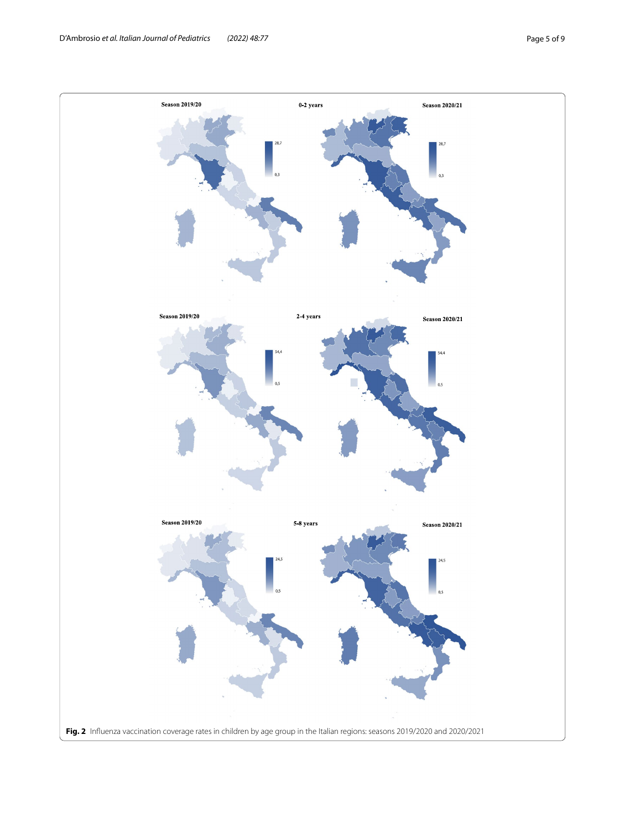<span id="page-4-0"></span>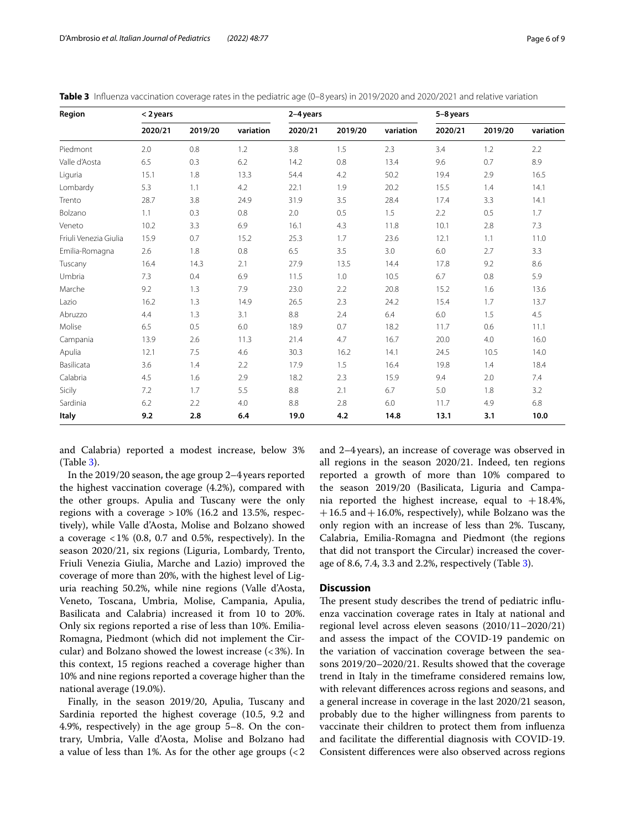| Region                | $<$ 2 years |         |           | 2-4 years |         |           | 5-8 years |         |           |
|-----------------------|-------------|---------|-----------|-----------|---------|-----------|-----------|---------|-----------|
|                       | 2020/21     | 2019/20 | variation | 2020/21   | 2019/20 | variation | 2020/21   | 2019/20 | variation |
| Piedmont              | 2.0         | 0.8     | 1.2       | 3.8       | 1.5     | 2.3       | 3.4       | 1.2     | 2.2       |
| Valle d'Aosta         | 6.5         | 0.3     | 6.2       | 14.2      | 0.8     | 13.4      | 9.6       | 0.7     | 8.9       |
| Liguria               | 15.1        | 1.8     | 13.3      | 54.4      | 4.2     | 50.2      | 19.4      | 2.9     | 16.5      |
| Lombardy              | 5.3         | 1.1     | 4.2       | 22.1      | 1.9     | 20.2      | 15.5      | 1.4     | 14.1      |
| Trento                | 28.7        | 3.8     | 24.9      | 31.9      | 3.5     | 28.4      | 17.4      | 3.3     | 14.1      |
| Bolzano               | 1.1         | 0.3     | 0.8       | 2.0       | 0.5     | 1.5       | 2.2       | 0.5     | 1.7       |
| Veneto                | 10.2        | 3.3     | 6.9       | 16.1      | 4.3     | 11.8      | 10.1      | 2.8     | 7.3       |
| Friuli Venezia Giulia | 15.9        | 0.7     | 15.2      | 25.3      | 1.7     | 23.6      | 12.1      | 1.1     | 11.0      |
| Emilia-Romagna        | 2.6         | 1.8     | 0.8       | 6.5       | 3.5     | 3.0       | 6.0       | 2.7     | 3.3       |
| Tuscany               | 16.4        | 14.3    | 2.1       | 27.9      | 13.5    | 14.4      | 17.8      | 9.2     | 8.6       |
| Umbria                | 7.3         | 0.4     | 6.9       | 11.5      | 1.0     | 10.5      | 6.7       | 0.8     | 5.9       |
| Marche                | 9.2         | 1.3     | 7.9       | 23.0      | 2.2     | 20.8      | 15.2      | 1.6     | 13.6      |
| Lazio                 | 16.2        | 1.3     | 14.9      | 26.5      | 2.3     | 24.2      | 15.4      | 1.7     | 13.7      |
| Abruzzo               | 4.4         | 1.3     | 3.1       | 8.8       | 2.4     | 6.4       | 6.0       | 1.5     | 4.5       |
| Molise                | 6.5         | 0.5     | 6.0       | 18.9      | 0.7     | 18.2      | 11.7      | 0.6     | 11.1      |
| Campania              | 13.9        | 2.6     | 11.3      | 21.4      | 4.7     | 16.7      | 20.0      | 4.0     | 16.0      |
| Apulia                | 12.1        | 7.5     | 4.6       | 30.3      | 16.2    | 14.1      | 24.5      | 10.5    | 14.0      |
| Basilicata            | 3.6         | 1.4     | 2.2       | 17.9      | 1.5     | 16.4      | 19.8      | 1.4     | 18.4      |
| Calabria              | 4.5         | 1.6     | 2.9       | 18.2      | 2.3     | 15.9      | 9.4       | 2.0     | 7.4       |
| Sicily                | 7.2         | 1.7     | 5.5       | 8.8       | 2.1     | 6.7       | 5.0       | 1.8     | 3.2       |
| Sardinia              | 6.2         | 2.2     | 4.0       | 8.8       | 2.8     | 6.0       | 11.7      | 4.9     | 6.8       |
| Italy                 | 9.2         | 2.8     | 6.4       | 19.0      | 4.2     | 14.8      | 13.1      | 3.1     | 10.0      |

<span id="page-5-0"></span>**Table 3** Influenza vaccination coverage rates in the pediatric age (0–8 years) in 2019/2020 and 2020/2021 and relative variation

and Calabria) reported a modest increase, below 3% (Table [3](#page-5-0)).

In the 2019/20 season, the age group 2–4years reported the highest vaccination coverage (4.2%), compared with the other groups. Apulia and Tuscany were the only regions with a coverage  $>10\%$  (16.2 and 13.5%, respectively), while Valle d'Aosta, Molise and Bolzano showed a coverage  $<1\%$  (0.8, 0.7 and 0.5%, respectively). In the season 2020/21, six regions (Liguria, Lombardy, Trento, Friuli Venezia Giulia, Marche and Lazio) improved the coverage of more than 20%, with the highest level of Liguria reaching 50.2%, while nine regions (Valle d'Aosta, Veneto, Toscana, Umbria, Molise, Campania, Apulia, Basilicata and Calabria) increased it from 10 to 20%. Only six regions reported a rise of less than 10%. Emilia-Romagna, Piedmont (which did not implement the Circular) and Bolzano showed the lowest increase (<3%). In this context, 15 regions reached a coverage higher than 10% and nine regions reported a coverage higher than the national average (19.0%).

Finally, in the season 2019/20, Apulia, Tuscany and Sardinia reported the highest coverage (10.5, 9.2 and 4.9%, respectively) in the age group 5–8. On the contrary, Umbria, Valle d'Aosta, Molise and Bolzano had a value of less than 1%. As for the other age groups  $\langle$  < 2 and 2–4years), an increase of coverage was observed in all regions in the season 2020/21. Indeed, ten regions reported a growth of more than 10% compared to the season 2019/20 (Basilicata, Liguria and Campania reported the highest increase, equal to  $+18.4\%$ ,  $+16.5$  and  $+16.0$ %, respectively), while Bolzano was the only region with an increase of less than 2%. Tuscany, Calabria, Emilia-Romagna and Piedmont (the regions that did not transport the Circular) increased the coverage of 8.6, 7.4, 3.3 and 2.2%, respectively (Table [3](#page-5-0)).

# **Discussion**

The present study describes the trend of pediatric influenza vaccination coverage rates in Italy at national and regional level across eleven seasons (2010/11–2020/21) and assess the impact of the COVID-19 pandemic on the variation of vaccination coverage between the seasons 2019/20–2020/21. Results showed that the coverage trend in Italy in the timeframe considered remains low, with relevant diferences across regions and seasons, and a general increase in coverage in the last 2020/21 season, probably due to the higher willingness from parents to vaccinate their children to protect them from infuenza and facilitate the diferential diagnosis with COVID-19. Consistent diferences were also observed across regions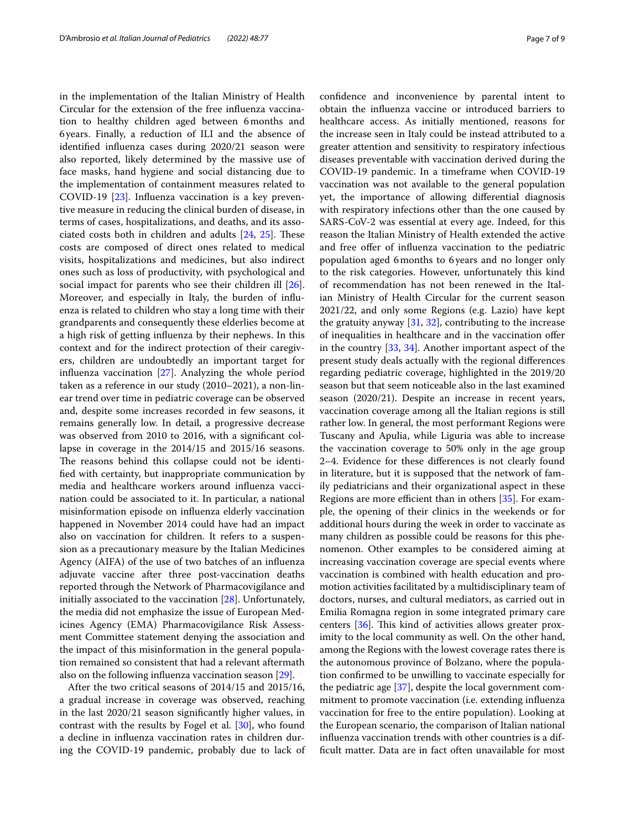in the implementation of the Italian Ministry of Health Circular for the extension of the free infuenza vaccination to healthy children aged between 6months and 6years. Finally, a reduction of ILI and the absence of identifed infuenza cases during 2020/21 season were also reported, likely determined by the massive use of face masks, hand hygiene and social distancing due to the implementation of containment measures related to COVID-19 [\[23](#page-8-22)]. Infuenza vaccination is a key preventive measure in reducing the clinical burden of disease, in terms of cases, hospitalizations, and deaths, and its associated costs both in children and adults  $[24, 25]$  $[24, 25]$  $[24, 25]$  $[24, 25]$ . These costs are composed of direct ones related to medical visits, hospitalizations and medicines, but also indirect ones such as loss of productivity, with psychological and social impact for parents who see their children ill [\[26](#page-8-25)]. Moreover, and especially in Italy, the burden of infuenza is related to children who stay a long time with their grandparents and consequently these elderlies become at a high risk of getting infuenza by their nephews. In this context and for the indirect protection of their caregivers, children are undoubtedly an important target for infuenza vaccination [[27\]](#page-8-26). Analyzing the whole period taken as a reference in our study (2010–2021), a non-linear trend over time in pediatric coverage can be observed and, despite some increases recorded in few seasons, it remains generally low. In detail, a progressive decrease was observed from 2010 to 2016, with a signifcant collapse in coverage in the 2014/15 and 2015/16 seasons. The reasons behind this collapse could not be identifed with certainty, but inappropriate communication by media and healthcare workers around infuenza vaccination could be associated to it. In particular, a national misinformation episode on infuenza elderly vaccination happened in November 2014 could have had an impact also on vaccination for children. It refers to a suspension as a precautionary measure by the Italian Medicines Agency (AIFA) of the use of two batches of an infuenza adjuvate vaccine after three post-vaccination deaths reported through the Network of Pharmacovigilance and initially associated to the vaccination [[28](#page-8-27)]. Unfortunately, the media did not emphasize the issue of European Medicines Agency (EMA) Pharmacovigilance Risk Assessment Committee statement denying the association and the impact of this misinformation in the general population remained so consistent that had a relevant aftermath also on the following infuenza vaccination season [[29\]](#page-8-28).

After the two critical seasons of 2014/15 and 2015/16, a gradual increase in coverage was observed, reaching in the last 2020/21 season signifcantly higher values, in contrast with the results by Fogel et al. [\[30\]](#page-8-29), who found a decline in infuenza vaccination rates in children during the COVID-19 pandemic, probably due to lack of confdence and inconvenience by parental intent to obtain the infuenza vaccine or introduced barriers to healthcare access. As initially mentioned, reasons for the increase seen in Italy could be instead attributed to a greater attention and sensitivity to respiratory infectious diseases preventable with vaccination derived during the COVID-19 pandemic. In a timeframe when COVID-19 vaccination was not available to the general population yet, the importance of allowing diferential diagnosis with respiratory infections other than the one caused by SARS-CoV-2 was essential at every age. Indeed, for this reason the Italian Ministry of Health extended the active and free offer of influenza vaccination to the pediatric population aged 6months to 6years and no longer only to the risk categories. However, unfortunately this kind of recommendation has not been renewed in the Italian Ministry of Health Circular for the current season 2021/22, and only some Regions (e.g. Lazio) have kept the gratuity anyway  $[31, 32]$  $[31, 32]$  $[31, 32]$  $[31, 32]$ , contributing to the increase of inequalities in healthcare and in the vaccination ofer in the country [\[33,](#page-8-32) [34\]](#page-8-33). Another important aspect of the present study deals actually with the regional diferences regarding pediatric coverage, highlighted in the 2019/20 season but that seem noticeable also in the last examined season (2020/21). Despite an increase in recent years, vaccination coverage among all the Italian regions is still rather low. In general, the most performant Regions were Tuscany and Apulia, while Liguria was able to increase the vaccination coverage to 50% only in the age group 2–4. Evidence for these diferences is not clearly found in literature, but it is supposed that the network of family pediatricians and their organizational aspect in these Regions are more efficient than in others  $[35]$  $[35]$  $[35]$ . For example, the opening of their clinics in the weekends or for additional hours during the week in order to vaccinate as many children as possible could be reasons for this phenomenon. Other examples to be considered aiming at increasing vaccination coverage are special events where vaccination is combined with health education and promotion activities facilitated by a multidisciplinary team of doctors, nurses, and cultural mediators, as carried out in Emilia Romagna region in some integrated primary care centers [[36\]](#page-8-35). This kind of activities allows greater proximity to the local community as well. On the other hand, among the Regions with the lowest coverage rates there is the autonomous province of Bolzano, where the population confrmed to be unwilling to vaccinate especially for the pediatric age [[37](#page-8-36)], despite the local government commitment to promote vaccination (i.e. extending infuenza vaccination for free to the entire population). Looking at the European scenario, the comparison of Italian national infuenza vaccination trends with other countries is a diffcult matter. Data are in fact often unavailable for most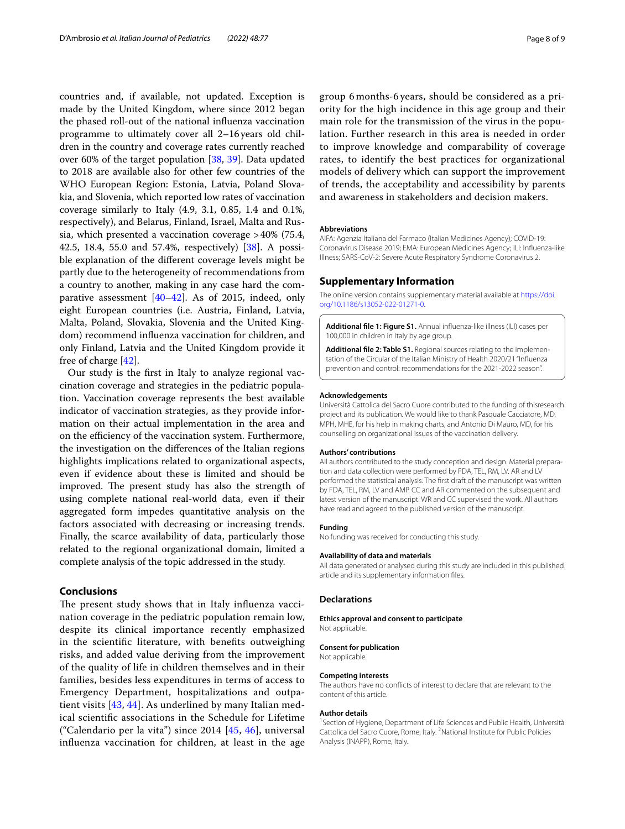countries and, if available, not updated. Exception is made by the United Kingdom, where since 2012 began the phased roll-out of the national infuenza vaccination programme to ultimately cover all 2–16years old children in the country and coverage rates currently reached over 60% of the target population [[38](#page-8-37), [39](#page-8-38)]. Data updated to 2018 are available also for other few countries of the WHO European Region: Estonia, Latvia, Poland Slovakia, and Slovenia, which reported low rates of vaccination coverage similarly to Italy (4.9, 3.1, 0.85, 1.4 and 0.1%, respectively), and Belarus, Finland, Israel, Malta and Russia, which presented a vaccination coverage >40% (75.4, 42.5, 18.4, 55.0 and 57.4%, respectively) [[38\]](#page-8-37). A possible explanation of the diferent coverage levels might be partly due to the heterogeneity of recommendations from a country to another, making in any case hard the comparative assessment [[40–](#page-8-39)[42](#page-8-40)]. As of 2015, indeed, only eight European countries (i.e. Austria, Finland, Latvia, Malta, Poland, Slovakia, Slovenia and the United Kingdom) recommend infuenza vaccination for children, and only Finland, Latvia and the United Kingdom provide it free of charge [[42\]](#page-8-40).

Our study is the frst in Italy to analyze regional vaccination coverage and strategies in the pediatric population. Vaccination coverage represents the best available indicator of vaccination strategies, as they provide information on their actual implementation in the area and on the efficiency of the vaccination system. Furthermore, the investigation on the diferences of the Italian regions highlights implications related to organizational aspects, even if evidence about these is limited and should be improved. The present study has also the strength of using complete national real-world data, even if their aggregated form impedes quantitative analysis on the factors associated with decreasing or increasing trends. Finally, the scarce availability of data, particularly those related to the regional organizational domain, limited a complete analysis of the topic addressed in the study.

## **Conclusions**

The present study shows that in Italy influenza vaccination coverage in the pediatric population remain low, despite its clinical importance recently emphasized in the scientifc literature, with benefts outweighing risks, and added value deriving from the improvement of the quality of life in children themselves and in their families, besides less expenditures in terms of access to Emergency Department, hospitalizations and outpatient visits [\[43](#page-8-41), [44](#page-8-42)]. As underlined by many Italian medical scientifc associations in the Schedule for Lifetime ("Calendario per la vita") since 2014 [[45,](#page-8-43) [46\]](#page-8-44), universal infuenza vaccination for children, at least in the age group 6 months-6 years, should be considered as a priority for the high incidence in this age group and their

main role for the transmission of the virus in the population. Further research in this area is needed in order to improve knowledge and comparability of coverage rates, to identify the best practices for organizational models of delivery which can support the improvement of trends, the acceptability and accessibility by parents and awareness in stakeholders and decision makers.

#### **Abbreviations**

AIFA: Agenzia Italiana del Farmaco (Italian Medicines Agency); COVID-19: Coronavirus Disease 2019; EMA: European Medicines Agency; ILI: Infuenza-like Illness; SARS-CoV-2: Severe Acute Respiratory Syndrome Coronavirus 2.

## **Supplementary Information**

The online version contains supplementary material available at [https://doi.](https://doi.org/10.1186/s13052-022-01271-0) [org/10.1186/s13052-022-01271-0](https://doi.org/10.1186/s13052-022-01271-0).

<span id="page-7-1"></span><span id="page-7-0"></span>**Additional fle 1: Figure S1.** Annual infuenza-like illness (ILI) cases per 100,000 in children in Italy by age group.

**Additional fle 2: Table S1.** Regional sources relating to the implementation of the Circular of the Italian Ministry of Health 2020/21 "Infuenza prevention and control: recommendations for the 2021-2022 season".

#### **Acknowledgements**

Università Cattolica del Sacro Cuore contributed to the funding of thisresearch project and its publication. We would like to thank Pasquale Cacciatore, MD, MPH, MHE, for his help in making charts, and Antonio Di Mauro, MD, for his counselling on organizational issues of the vaccination delivery.

#### **Authors' contributions**

All authors contributed to the study conception and design. Material preparation and data collection were performed by FDA, TEL, RM, LV. AR and LV performed the statistical analysis. The frst draft of the manuscript was written by FDA, TEL, RM, LV and AMP. CC and AR commented on the subsequent and latest version of the manuscript. WR and CC supervised the work. All authors have read and agreed to the published version of the manuscript.

#### **Funding**

No funding was received for conducting this study.

#### **Availability of data and materials**

All data generated or analysed during this study are included in this published article and its supplementary information fles.

#### **Declarations**

#### **Ethics approval and consent to participate**

Not applicable.

#### **Consent for publication**

Not applicable.

#### **Competing interests**

The authors have no conficts of interest to declare that are relevant to the content of this article.

#### **Author details**

<sup>1</sup> Section of Hygiene, Department of Life Sciences and Public Health, Università Cattolica del Sacro Cuore, Rome, Italy. <sup>2</sup> National Institute for Public Policies Analysis (INAPP), Rome, Italy.